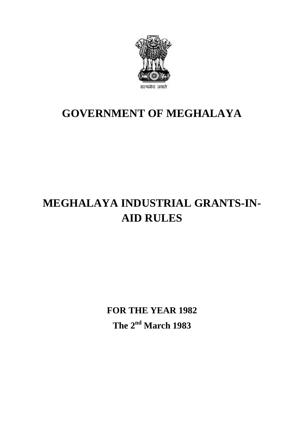

## **GOVERNMENT OF MEGHALAYA**

# **MEGHALAYA INDUSTRIAL GRANTS-IN-AID RULES**

**FOR THE YEAR 1982**<br>The 2<sup>nd</sup> March 1983 **The 2nd March 1983**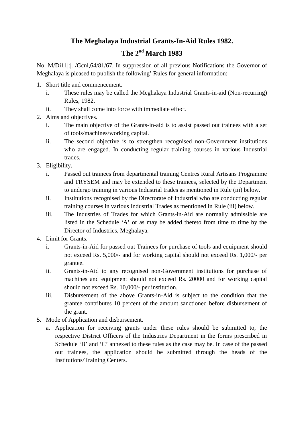### **The Meghalaya Industrial Grants-In-Aid Rules 1982.**

## **The 2nd March 1983**

The Meghalaya Industrial Grants-In-Aid Rules 1982.<br>The 2<sup>nd</sup> March 1983<br>No. M/Di11|:|. /Gcnl,64/81/67.-In suppression of all previous Notifications the Governor of<br>Meghalaya is pleased to publish the following' Rules for g **The 2<sup>nd</sup> March 1983**<br>No. M/Di11|:|. /Gcnl,64/81/67.-In suppression of all previous Notifications the Go<br>Meghalaya is pleased to publish the following' Rules for general information:-<br>1. Short title and commencement.<br>i. T

- 
- I. M. Di11|:|. /Gcnl,64/81/67.-In suppression of all previous Notifications the Governor of ghalaya is pleased to publish the following' Rules for general information:-<br>Short title and commencement.<br>i. These rules may be c Rules, 1982. in ghalaya is pleased to publish the following' Rules for general is<br>Short title and commencement.<br>i. These rules may be called the Meghalaya Industrial G<br>Rules, 1982.<br>ii. They shall come into force with immediate effect.<br> 1. Short title and commence<br>
i. These rules may b<br>
Rules, 1982.<br>
ii. They shall come is<br>
2. Aims and objectives.<br>
i. The main objective i. These rules may be called the Meghalaya Industrial Grants-in-aid (Non-recurring)<br>Rules, 1982.<br>ii. They shall come into force with immediate effect.<br>Aims and objectives.<br>i. The main objective of the Grants-in-aid is to a
	-
- - of tools/machines/working capital.
- ii. They shall come into force with immediate effect.<br>
Aims and objectives.<br>
i. The main objective of the Grants-in-aid is to assist passed out trainees with a set<br>
of tools/machines/working capital.<br>
ii. The second object who are engaged. In conducting regular training courses in various Industrial trades. of tools.<br>
ii. The sec<br>
who are<br>
trades.<br>
3. Eligibility.<br>
i. Passed ii. The second objective is to strengthen recognised non-Government institutions<br>who are engaged. In conducting regular training courses in various Industrial<br>trades.<br>Eligibility.<br>i. Passed out trainees from departmental t
- 
- who are engaged. In conducting regular training courses in various Industrial<br>trades.<br>ity.<br>Passed out trainees from departmental training Centres Rural Artisans Programme<br>and TRYSEM and may be extended to these trainees, s to undergo training in various Industrial trades as mentioned in Rule (iii) below. Eligibility.<br>
i. Passed out trainees from departmental training Centres Rural Artisans Programme<br>
and TRYSEM and may be extended to these trainees, selected by the Department<br>
to undergo training in various Industrial trad Passed out trainees from departmental training Centres Rural Artisans Programme<br>and TRYSEM and may be extended to these trainees, selected by the Departmen<br>to undergo training in various Industrial trades as mentioned in R
	-
- independent and may be extended to these trainees, selected by the Department<br>to undergo training in various Industrial trades as mentioned in Rule (iii) below.<br>Institutions recognised by the Directorate of Industrial who listed in the Schedule 'A' or as may be added thereto from time to time by the Director of Industries, Meghalaya. training course<br>
iii. The Industrie<br>
listed in the S<br>
Director of Ind<br>
4. Limit for Grants.<br>
i. Grants-in-Aid ii. The Industries of Trades for which Grants-in-Aid are normally admissible are listed in the Schedule 'A' or as may be added thereto from time to time by the Director of Industries, Meghalaya.<br>Limit for Grants.<br>i. Grants
- 
- listed in the Schedule 'A' or as may be added thereto from time to time by the Director of Industries, Meghalaya.<br>Dr Grants.<br>Grants-in-Aid for passed out Trainees for purchase of tools and equipment should not exceed Rs. 5 grantee. Limit for Grants.<br>
i. Grants-in-Aid for passed out Trainees for purchase of tools and equipment should<br>
not exceed Rs. 5,000/- and for working capital should not exceed Rs. 1,000/- per<br>
grantee.<br>
ii. Grants-in-Aid to any r
	- machines and equipment should not exceed Rs. 20000 and for working capital not exceed Rs. 5,000/- and for working capital sh<br>grantee.<br>Grants-in-Aid to any recognised non-Governme<br>machines and equipment should not exceed Rs.<br>should not exceed Rs. 10,000/- per institution.<br>Disbursement of the above grantee.<br>
	ii. Grants-in-Aid to any recognised non-Government institutions for purchase of<br>
	machines and equipment should not exceed Rs. 20000 and for working capital<br>
	should not exceed Rs. 10,000/- per institution.<br>
	iii. D
- grantee contributes 10 percent of the amount sanctioned before disbursement of the grant. should not exceed Rs. 10,000/- per in<br>iii. Disbursement of the above Grants<br>grantee contributes 10 percent of th<br>the grant.<br>5. Mode of Application and disbursement.<br>a. Application for receiving grants unde iii. Disbursement of the above Grants-in-Aid is subject to the condition that the grantee contributes 10 percent of the amount sanctioned before disbursement of the grant.<br>Mode of Application and disbursement.<br>a. Applicati
- - respective District Officers of the Industries Department in the forms prescribed in Schedule 'B' and 'C' annexed to these rules as the case may be. In case of the passed out trainees, the application should be submitted through the heads of the Institutions/Training Centers.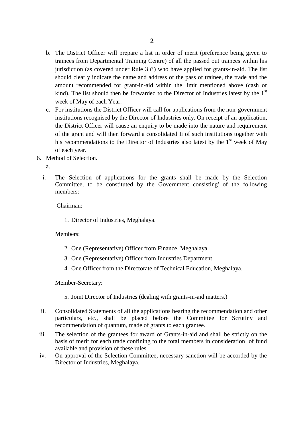- b. The District Officer will prepare a list in order of merit (preference being given to trainees from Departmental Training Centre) of all the passed out trainees within his jurisdiction (as covered under Rule 3 (i) who have applied for grants-in-aid. The list should clearly indicate the name and address of the pass of trainee, the trade and the amount recommended for grant-in-aid within the limit mentioned above (cash or kind). The list should then be forwarded to the Director of Industries latest by the  $1<sup>st</sup>$ week of May of each Year. should clearly indicate the name and address of the pass of trainee, the trade and the<br>amount recommended for grant-in-aid within the limit mentioned above (cash or<br>kind). The list should then be forwarded to the Director
- amount recommended for grant-in-aid within the limit mentioned above (cash or kind). The list should then be forwarded to the Director of Industries latest by the 1<sup>st</sup> week of May of each Year.<br>For institutions the Distri the District Officer will cause an enquiry to be made into the nature and requirement week of May of each Year.<br>For institutions the District Officer will call for applications from the non-government<br>institutions recognised by the Director of Industries only. On receipt of an application,<br>the District Off of each year. the District Officer w<br>
of the grant and will<br>
his recommendations<br>
of each year.<br>
6. Method of Selection.<br>
a.
- - a.
- is recommendations to the Director of Industries also latest by the 1<sup>st</sup> week of May<br>of each year.<br>Method of Selection.<br>a.<br>i. The Selection of applications for the grants shall be made by the Selection<br>Committee, to be co of each year.<br>The Selection.<br>The Selection of applications for the grants shall be made by the Selection<br>Committee, to be constituted by the Government consisting' of the following<br>members: members:

Chairman:

1. Director of Industries, Meghalaya.

Members:

- 2. One (Representative) Officer from Finance, Meghalaya.
- 1. Director of maastries, Megnalaya.<br>
2. One (Representative) Officer from Finance, Meghalaya.<br>
3. One (Representative) Officer from Industries Department<br>
4. One Officer from the Directorate of Technical Education, Meg
- 1. One (Representative) Officer from Finance, Meghalaya.<br>
1. One (Representative) Officer from Industries Department<br>
1. One Officer from the Directorate of Technical Education, Meghalaya. 5. One (Representative) Officer from mutastries Department<br>4. One Officer from the Directorate of Technical Education, Meghalaya.<br>mber-Secretary:<br>5. Joint Director of Industries (dealing with grants-in-aid matters.)

Member-Secretary:

- 
- Member-Secretary:<br>
5. Joint Director of Industries (dealing with grants-in-aid matters.)<br>
ii. Consolidated Statements of all the applications bearing the recommendation and other<br>
particulars, etc., shall be placed before Member-Secretary:<br>
5. Joint Director of Industries (dealing with grants-in-aid matters.)<br>
Consolidated Statements of all the applications bearing the recommendation and other<br>
particulars, etc., shall be placed before the recommendation of quantum, made of grants to each grantee. 3. Joint Director of maustries (dealing with grants-in-aid matters.)<br>ii. Consolidated Statements of all the applications bearing the recommendation and other<br>particulars, etc., shall be placed before the Committee for Scru
- basis of merit for each trade confining to the total members in consideration of fund available and provision of these rules. particulars, etc., shall be placed before the Committee for Scrutiny and<br>recommendation of quantum, made of grants to each grantee.<br>iii. The selection of the grantees for award of Grants-in-aid and shall be strictly on the
- Director of Industries, Meghalaya.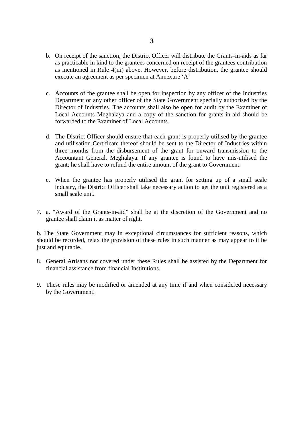- b. On receipt of the sanction, the District Officer will distribute the Grants-in-aids as far as practicable in kind to the grantees concerned on receipt of the grantees contribution as mentioned in Rule 4(iii) above. However, before distribution, the grantee should execute an agreement as per specimen at Annexure 'A' or the grantee shall be open for inspection by any officer of the Industries<br>
as mentioned in Rule 4(iii) above. However, before distribution, the grantee should<br>
execute an agreement as per specimen at Annexure 'A'<br>
c. Ac
- as mentioned in Kute 4(iii) above. However, before distribution, the grantee should<br>execute an agreement as per specimen at Annexure 'A'<br>Accounts of the grantee shall be open for inspection by any officer of the Industries Local Accounts Meghalaya and a copy of the sanction for grants-in-aid should be forwarded to the Examiner of Local Accounts. Department or any other officer of the State Government specially authorised by the<br>Director of Industries. The accounts shall also be open for audit by the Examiner of<br>Local Accounts Meghalaya and a copy of the sanction f
- and utilisation Certificate thereof should be sent to the Director of Industries within three months from the disbursement of the grant for onward transmission to the Accountant General, Meghalaya. If any grantee is found to have mis-utilised the grant; he shall have to refund the entire amount of the grant to Government. and utilisation Certificate thereof should be sent to the Director of Industries within<br>three months from the disbursement of the grant for onward transmission to the<br>Accountant General, Meghalaya. If any grantee is found
- industry, the District Officer shall take necessary action to get the unit registered as a small scale unit. 17. a. "Award of the Grants-in-aid" shall be at the discretion of the Government and no extended at the Grants-in-aid" shall be at the discretion of the Government and no shall scale unit.
- grantee shall claim it as matter of right.

b. The State Government may in exceptional circumstances for sufficient reasons, which should be recorded, relax the provision of these rules in such manner as may appear to it be just and equitable. 8. The State Government may in exceptional circumstances for sufficient reasons, which should be recorded, relax the provision of these rules in such manner as may appear to it be just and equitable.<br>8. General Artisans no

- financial assistance from financial Institutions. 9. These rules may be modified or amended at any time if and when considered necessary<br>9. These rules may be modified or amended at any time if and when considered necessary
- by the Government.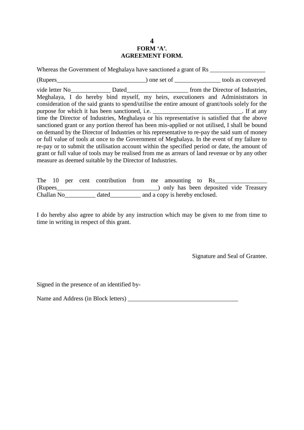#### **4 FORM 'A'. AGREEMENT FORM.**

|                                                                                                                                                                                                                                                                                                                                                                                                                                                                                                                                                                                                                                                                                                                                                                                                                                                                                                                                                     | FORM 'A'.<br><b>AGREEMENT FORM.</b> |  |
|-----------------------------------------------------------------------------------------------------------------------------------------------------------------------------------------------------------------------------------------------------------------------------------------------------------------------------------------------------------------------------------------------------------------------------------------------------------------------------------------------------------------------------------------------------------------------------------------------------------------------------------------------------------------------------------------------------------------------------------------------------------------------------------------------------------------------------------------------------------------------------------------------------------------------------------------------------|-------------------------------------|--|
| Whereas the Government of Meghalaya have sanctioned a grant of Rs _______________                                                                                                                                                                                                                                                                                                                                                                                                                                                                                                                                                                                                                                                                                                                                                                                                                                                                   |                                     |  |
| (Rupees Conveyed (Rupees Conveyed $\overline{C}$ ) one set of <u>Conveyed</u> (Rupees Conveyed $\overline{C}$                                                                                                                                                                                                                                                                                                                                                                                                                                                                                                                                                                                                                                                                                                                                                                                                                                       |                                     |  |
| Meghalaya, I do hereby bind myself, my heirs, executioners and Administrators in<br>consideration of the said grants to spend/utilise the entire amount of grant/tools solely for the<br>purpose for which it has been sanctioned, i.e. ___________________________. If at any<br>time the Director of Industries, Meghalaya or his representative is satisfied that the above<br>sanctioned grant or any portion thereof has been mis-applied or not utilised, I shall be bound<br>on demand by the Director of Industries or his representative to re-pay the said sum of money<br>or full value of tools at once to the Government of Meghalaya. In the event of my failure to<br>re-pay or to submit the utilisation account within the specified period or date, the amount of<br>grant or full value of tools may be realised from me as arrears of land revenue or by any other<br>measure as deemed suitable by the Director of Industries. |                                     |  |

| measure as deemed suitable by the Director of Industries. |       | grant or full value of tools may be realised from me as arrears of land revenue or by any other |  |
|-----------------------------------------------------------|-------|-------------------------------------------------------------------------------------------------|--|
| The 10                                                    |       | per cent contribution from me amounting to Rs_<br>) only has been deposited vide Treasury       |  |
| Challan No                                                | dated | and a copy is hereby enclosed.                                                                  |  |

I do hereby also agree to abide by any instruction which may be given to me from time to time in writing in respect of this grant.

Signature and Seal of Grantee.

Signed in the presence of an identified by-

Name and Address (in Block letters) \_\_\_\_\_\_\_\_\_\_\_\_\_\_\_\_\_\_\_\_\_\_\_\_\_\_\_\_\_\_\_\_\_\_\_\_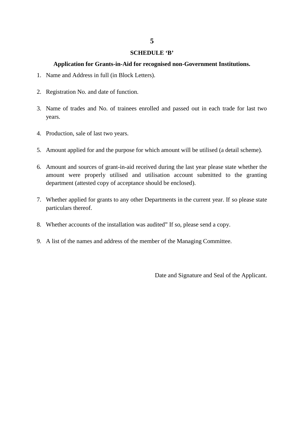#### **SCHEDULE 'B'**

#### **Application for Grants-in-Aid for recognised non-Government Institutions.**

- 5<br>1. Name and Address in full (in Block Letters). **2. Application for Grants-in-Aid for real.**<br>2. Registration No. and date of function.
- 
- 3. Name and Address in full (in Block Letters).<br>
2. Registration No. and date of function.<br>
3. Name of trades and No. of trainees enrolled and passed out in each trade for last two<br>
years. years. 4. Production, sale of last two years.
- 
- 5. Amount applied for and the purpose for which amount will be utilised (a detail scheme).
- 4. Production, sale of last two years.<br>5. Amount applied for and the purpose for which amount will be utilised (a detail scheme).<br>6. Amount and sources of grant-in-aid received during the last year please state whether the amount were properly utilised and utilisation account submitted to the granting department (attested copy of acceptance should be enclosed). 4. Solution of grants to any other Departments in the current year. If so please state whether the amount were properly utilised and utilisation account submitted to the granting department (attested copy of acceptance sho
- particulars thereof.
- 8. Whether accounts of the installation was audited" If so, please send a copy.
- 9. A list of the names and address of the member of the Managing Committee.

Date and Signature and Seal of the Applicant.